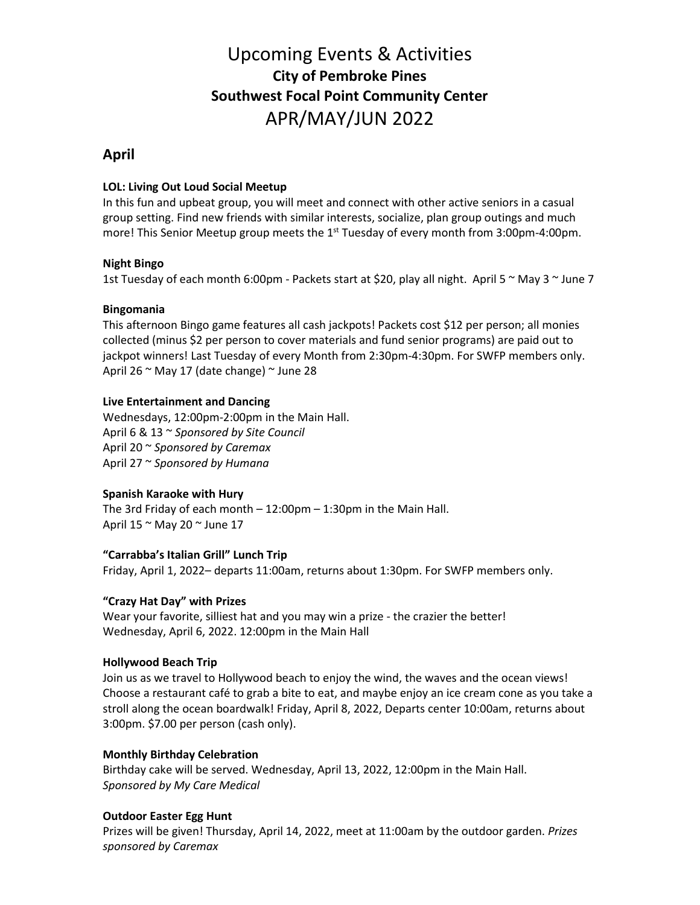# Upcoming Events & Activities **City of Pembroke Pines Southwest Focal Point Community Center** APR/MAY/JUN 2022

# **April**

# **LOL: Living Out Loud Social Meetup**

In this fun and upbeat group, you will meet and connect with other active seniors in a casual group setting. Find new friends with similar interests, socialize, plan group outings and much more! This Senior Meetup group meets the  $1<sup>st</sup>$  Tuesday of every month from 3:00pm-4:00pm.

# **Night Bingo**

1st Tuesday of each month 6:00pm - Packets start at \$20, play all night. April 5 ~ May 3 ~ June 7

# **Bingomania**

This afternoon Bingo game features all cash jackpots! Packets cost \$12 per person; all monies collected (minus \$2 per person to cover materials and fund senior programs) are paid out to jackpot winners! Last Tuesday of every Month from 2:30pm-4:30pm. For SWFP members only. April 26 ~ May 17 (date change) ~ June 28

# **Live Entertainment and Dancing**

Wednesdays, 12:00pm-2:00pm in the Main Hall. April 6 & 13 ~ *Sponsored by Site Council* April 20 ~ *Sponsored by Caremax* April 27 ~ *Sponsored by Humana*

# **Spanish Karaoke with Hury**

The 3rd Friday of each month – 12:00pm – 1:30pm in the Main Hall. April 15 ~ May 20 ~ June 17

## **"Carrabba's Italian Grill" Lunch Trip**

Friday, April 1, 2022– departs 11:00am, returns about 1:30pm. For SWFP members only.

# **"Crazy Hat Day" with Prizes**

Wear your favorite, silliest hat and you may win a prize - the crazier the better! Wednesday, April 6, 2022. 12:00pm in the Main Hall

## **Hollywood Beach Trip**

Join us as we travel to Hollywood beach to enjoy the wind, the waves and the ocean views! Choose a restaurant café to grab a bite to eat, and maybe enjoy an ice cream cone as you take a stroll along the ocean boardwalk! Friday, April 8, 2022, Departs center 10:00am, returns about 3:00pm. \$7.00 per person (cash only).

# **Monthly Birthday Celebration**

Birthday cake will be served. Wednesday, April 13, 2022, 12:00pm in the Main Hall. *Sponsored by My Care Medical*

# **Outdoor Easter Egg Hunt**

Prizes will be given! Thursday, April 14, 2022, meet at 11:00am by the outdoor garden. *Prizes sponsored by Caremax*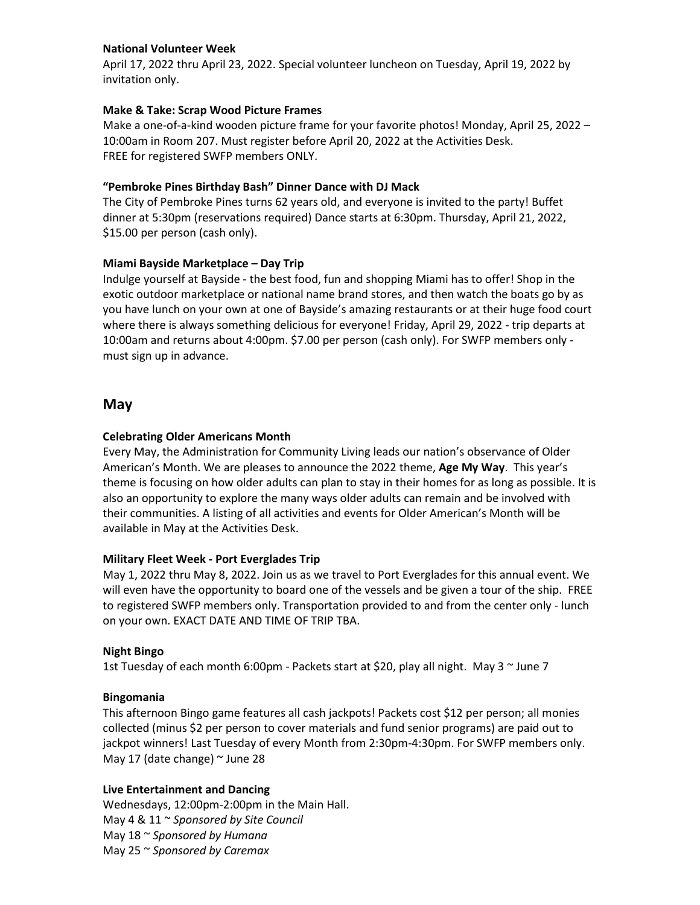## **National Volunteer Week**

April 17, 2022 thru April 23, 2022. Special volunteer luncheon on Tuesday, April 19, 2022 by invitation only.

# **Make & Take: Scrap Wood Picture Frames**

Make a one-of-a-kind wooden picture frame for your favorite photos! Monday, April 25, 2022 – 10:00am in Room 207. Must register before April 20, 2022 at the Activities Desk. FREE for registered SWFP members ONLY.

## **"Pembroke Pines Birthday Bash" Dinner Dance with DJ Mack**

The City of Pembroke Pines turns 62 years old, and everyone is invited to the party! Buffet dinner at 5:30pm (reservations required) Dance starts at 6:30pm. Thursday, April 21, 2022, \$15.00 per person (cash only).

## **Miami Bayside Marketplace – Day Trip**

Indulge yourself at Bayside - the best food, fun and shopping Miami has to offer! Shop in the exotic outdoor marketplace or national name brand stores, and then watch the boats go by as you have lunch on your own at one of Bayside's amazing restaurants or at their huge food court where there is always something delicious for everyone! Friday, April 29, 2022 - trip departs at 10:00am and returns about 4:00pm. \$7.00 per person (cash only). For SWFP members only must sign up in advance.

# **May**

# **Celebrating Older Americans Month**

Every May, the Administration for Community Living leads our nation's observance of Older American's Month. We are pleases to announce the 2022 theme, **Age My Way**. This year's theme is focusing on how older adults can plan to stay in their homes for as long as possible. It is also an opportunity to explore the many ways older adults can remain and be involved with their communities. A listing of all activities and events for Older American's Month will be available in May at the Activities Desk.

## **Military Fleet Week - Port Everglades Trip**

May 1, 2022 thru May 8, 2022. Join us as we travel to Port Everglades for this annual event. We will even have the opportunity to board one of the vessels and be given a tour of the ship. FREE to registered SWFP members only. Transportation provided to and from the center only - lunch on your own. EXACT DATE AND TIME OF TRIP TBA.

## **Night Bingo**

1st Tuesday of each month 6:00pm - Packets start at \$20, play all night. May 3  $\sim$  June 7

## **Bingomania**

This afternoon Bingo game features all cash jackpots! Packets cost \$12 per person; all monies collected (minus \$2 per person to cover materials and fund senior programs) are paid out to jackpot winners! Last Tuesday of every Month from 2:30pm-4:30pm. For SWFP members only. May 17 (date change)  $\sim$  June 28

## **Live Entertainment and Dancing**

Wednesdays, 12:00pm-2:00pm in the Main Hall. May 4 & 11 ~ *Sponsored by Site Council* May 18 ~ *Sponsored by Humana* May 25 ~ *Sponsored by Caremax*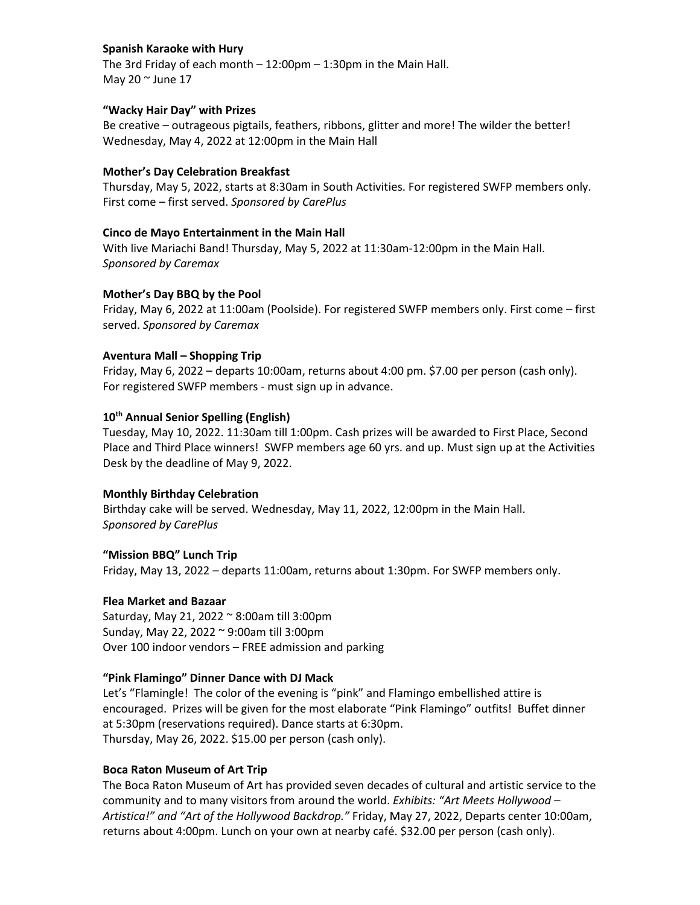# **Spanish Karaoke with Hury**

The 3rd Friday of each month – 12:00pm – 1:30pm in the Main Hall. May 20  $\sim$  June 17

#### **"Wacky Hair Day" with Prizes**

Be creative – outrageous pigtails, feathers, ribbons, glitter and more! The wilder the better! Wednesday, May 4, 2022 at 12:00pm in the Main Hall

#### **Mother's Day Celebration Breakfast**

Thursday, May 5, 2022, starts at 8:30am in South Activities. For registered SWFP members only. First come – first served. *Sponsored by CarePlus*

#### **Cinco de Mayo Entertainment in the Main Hall**

With live Mariachi Band! Thursday, May 5, 2022 at 11:30am-12:00pm in the Main Hall. *Sponsored by Caremax*

#### **Mother's Day BBQ by the Pool**

Friday, May 6, 2022 at 11:00am (Poolside). For registered SWFP members only. First come – first served. *Sponsored by Caremax*

#### **Aventura Mall – Shopping Trip**

Friday, May 6, 2022 – departs 10:00am, returns about 4:00 pm. \$7.00 per person (cash only). For registered SWFP members - must sign up in advance.

# **10th Annual Senior Spelling (English)**

Tuesday, May 10, 2022. 11:30am till 1:00pm. Cash prizes will be awarded to First Place, Second Place and Third Place winners! SWFP members age 60 yrs. and up. Must sign up at the Activities Desk by the deadline of May 9, 2022.

#### **Monthly Birthday Celebration**

Birthday cake will be served. Wednesday, May 11, 2022, 12:00pm in the Main Hall. *Sponsored by CarePlus*

#### **"Mission BBQ" Lunch Trip**

Friday, May 13, 2022 – departs 11:00am, returns about 1:30pm. For SWFP members only.

#### **Flea Market and Bazaar**

Saturday, May 21, 2022 ~ 8:00am till 3:00pm Sunday, May 22, 2022 ~ 9:00am till 3:00pm Over 100 indoor vendors – FREE admission and parking

#### **"Pink Flamingo" Dinner Dance with DJ Mack**

Let's "Flamingle! The color of the evening is "pink" and Flamingo embellished attire is encouraged. Prizes will be given for the most elaborate "Pink Flamingo" outfits! Buffet dinner at 5:30pm (reservations required). Dance starts at 6:30pm. Thursday, May 26, 2022. \$15.00 per person (cash only).

#### **Boca Raton Museum of Art Trip**

The Boca Raton Museum of Art has provided seven decades of cultural and artistic service to the community and to many visitors from around the world. *Exhibits: "Art Meets Hollywood – Artistica!" and "Art of the Hollywood Backdrop."* Friday, May 27, 2022, Departs center 10:00am, returns about 4:00pm. Lunch on your own at nearby café. \$32.00 per person (cash only).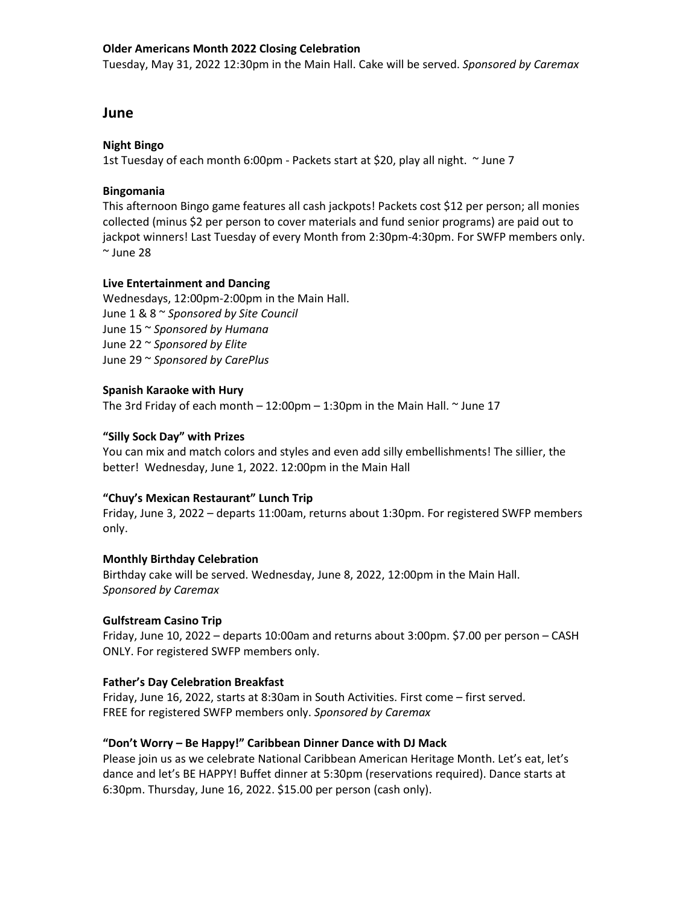## **Older Americans Month 2022 Closing Celebration**

Tuesday, May 31, 2022 12:30pm in the Main Hall. Cake will be served. *Sponsored by Caremax*

# **June**

#### **Night Bingo**

1st Tuesday of each month 6:00pm - Packets start at \$20, play all night. ~ June 7

#### **Bingomania**

This afternoon Bingo game features all cash jackpots! Packets cost \$12 per person; all monies collected (minus \$2 per person to cover materials and fund senior programs) are paid out to jackpot winners! Last Tuesday of every Month from 2:30pm-4:30pm. For SWFP members only.  $\sim$  June 28

#### **Live Entertainment and Dancing**

Wednesdays, 12:00pm-2:00pm in the Main Hall. June 1 & 8 ~ *Sponsored by Site Council* June 15 ~ *Sponsored by Humana* June 22 ~ *Sponsored by Elite* June 29 ~ *Sponsored by CarePlus*

## **Spanish Karaoke with Hury**

The 3rd Friday of each month  $-12:00$ pm  $-1:30$ pm in the Main Hall.  $\sim$  June 17

#### **"Silly Sock Day" with Prizes**

You can mix and match colors and styles and even add silly embellishments! The sillier, the better! Wednesday, June 1, 2022. 12:00pm in the Main Hall

#### **"Chuy's Mexican Restaurant" Lunch Trip**

Friday, June 3, 2022 – departs 11:00am, returns about 1:30pm. For registered SWFP members only.

#### **Monthly Birthday Celebration**

Birthday cake will be served. Wednesday, June 8, 2022, 12:00pm in the Main Hall. *Sponsored by Caremax*

#### **Gulfstream Casino Trip**

Friday, June 10, 2022 – departs 10:00am and returns about 3:00pm. \$7.00 per person – CASH ONLY. For registered SWFP members only.

#### **Father's Day Celebration Breakfast**

Friday, June 16, 2022, starts at 8:30am in South Activities. First come – first served. FREE for registered SWFP members only. *Sponsored by Caremax*

## **"Don't Worry – Be Happy!" Caribbean Dinner Dance with DJ Mack**

Please join us as we celebrate National Caribbean American Heritage Month. Let's eat, let's dance and let's BE HAPPY! Buffet dinner at 5:30pm (reservations required). Dance starts at 6:30pm. Thursday, June 16, 2022. \$15.00 per person (cash only).